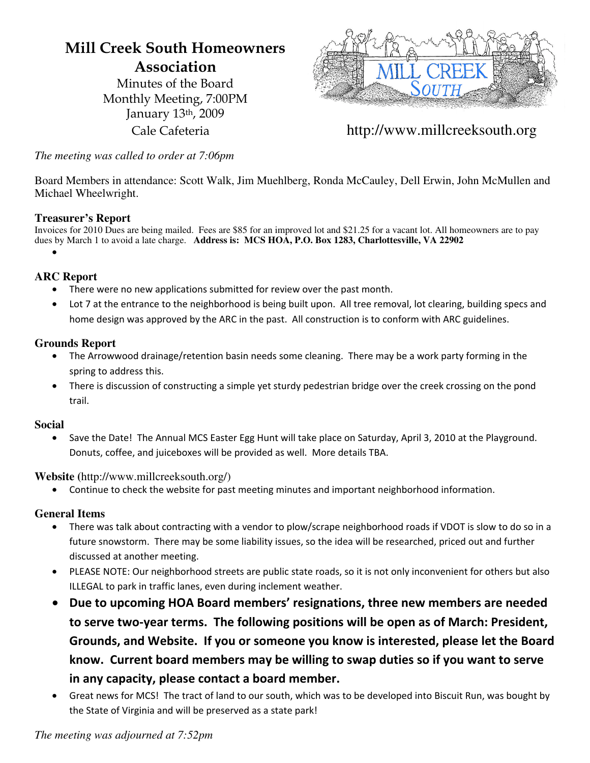# **Mill Creek South Homeowners Association**

Minutes of the Board Monthly Meeting, 7:00PM January 13th, 2009



Cale Cafeteria http://www.millcreeksouth.org

*The meeting was called to order at 7:06pm*

Board Members in attendance: Scott Walk, Jim Muehlberg, Ronda McCauley, Dell Erwin, John McMullen and Michael Wheelwright.

# **Treasurer's Report**

Invoices for 2010 Dues are being mailed. Fees are \$85 for an improved lot and \$21.25 for a vacant lot. All homeowners are to pay dues by March 1 to avoid a late charge. **Address is: MCS HOA, P.O. Box 1283, Charlottesville, VA 22902** 

•

# **ARC Report**

- There were no new applications submitted for review over the past month.
- Lot 7 at the entrance to the neighborhood is being built upon. All tree removal, lot clearing, building specs and home design was approved by the ARC in the past. All construction is to conform with ARC guidelines.

# **Grounds Report**

- The Arrowwood drainage/retention basin needs some cleaning. There may be a work party forming in the spring
to
address
this.
- There is discussion of constructing a simple yet sturdy pedestrian bridge over the creek crossing on the pond trail.

#### **Social**

Save the Date! The Annual MCS Easter Egg Hunt will take place on Saturday, April 3, 2010 at the Playground. Donuts, coffee, and juiceboxes will be provided as well. More details TBA.

#### **Website (**http://www.millcreeksouth.org/)

Continue to check the website for past meeting minutes and important neighborhood information.

#### **General Items**

- There was talk about contracting with a vendor to plow/scrape neighborhood roads if VDOT is slow to do so in a future snowstorm. There may be some liability issues, so the idea will be researched, priced out and further discussed
at
another
meeting.
- PLEASE NOTE: Our neighborhood streets are public state roads, so it is not only inconvenient for others but also ILLEGAL
to
park
in
traffic
lanes,
even
during
inclement
weather.
- Due to upcoming HOA Board members' resignations, three new members are needed to serve two-year terms. The following positions will be open as of March: President, **Grounds,
and
Website.

If
you
or
someone
you
know
is
interested,
please
let
the
Board**  know. Current board members may be willing to swap duties so if you want to serve **in
any
capacity,
please
contact
a
board
member.**
- Great news for MCS! The tract of land to our south, which was to be developed into Biscuit Run, was bought by the State of Virginia and will be preserved as a state park!

#### *The meeting was adjourned at 7:52pm*